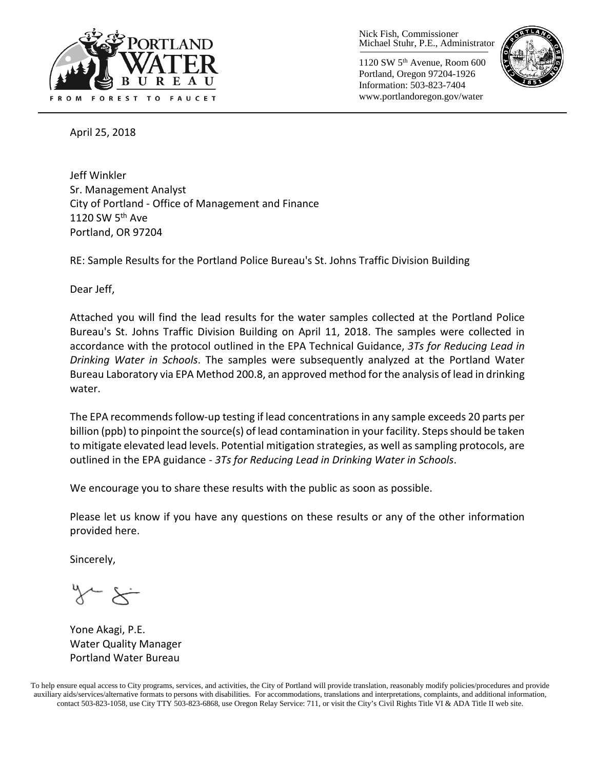

Nick Fish, Commissioner Michael Stuhr, P.E., Administrator

1120 SW 5th Avenue, Room 600 Portland, Oregon 97204-1926 Information: 503-823-7404 www.portlandoregon.gov/water



April 25, 2018

Jeff Winkler Sr. Management Analyst City of Portland - Office of Management and Finance 1120 SW 5<sup>th</sup> Ave Portland, OR 97204

RE: Sample Results for the Portland Police Bureau's St. Johns Traffic Division Building

Dear Jeff,

Attached you will find the lead results for the water samples collected at the Portland Police Bureau's St. Johns Traffic Division Building on April 11, 2018. The samples were collected in accordance with the protocol outlined in the EPA Technical Guidance, *3Ts for Reducing Lead in Drinking Water in Schools*. The samples were subsequently analyzed at the Portland Water Bureau Laboratory via EPA Method 200.8, an approved method for the analysis of lead in drinking water.

The EPA recommends follow-up testing if lead concentrations in any sample exceeds 20 parts per billion (ppb) to pinpoint the source(s) of lead contamination in your facility. Steps should be taken to mitigate elevated lead levels. Potential mitigation strategies, as well as sampling protocols, are outlined in the EPA guidance - *3Ts for Reducing Lead in Drinking Water in Schools*.

We encourage you to share these results with the public as soon as possible.

Please let us know if you have any questions on these results or any of the other information provided here.

Sincerely,

Yone Akagi, P.E. Water Quality Manager Portland Water Bureau

To help ensure equal access to City programs, services, and activities, the City of Portland will provide translation, reasonably modify policies/procedures and provide auxiliary aids/services/alternative formats to persons with disabilities. For accommodations, translations and interpretations, complaints, and additional information, contact 503-823-1058, use City TTY 503-823-6868, use Oregon Relay Service: 711, or visi[t the City's Civil Rights Title VI & ADA Title II web site.](http://www.portlandoregon.gov/oehr/66458)